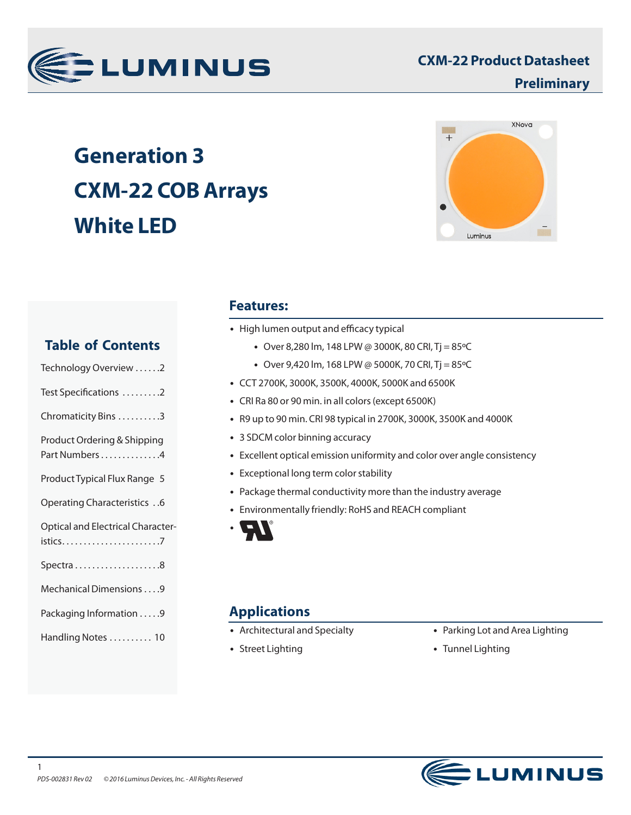

# **Generation 3 CXM-22 COB Arrays White LED**



# **Features:**

- High lumen output and efficacy typical
	- Over 8,280 lm, 148 LPW @ 3000K, 80 CRI, Tj = 85 °C
	- Over 9,420 lm, 168 LPW @ 5000K, 70 CRI, Tj =  $85^{\circ}$ C
- CCT 2700K, 3000K, 3500K, 4000K, 5000K and 6500K
- CRI Ra 80 or 90 min. in all colors (except 6500K)
- R9 up to 90 min. CRI 98 typical in 2700K, 3000K, 3500K and 4000K
- 3 SDCM color binning accuracy
- Excellent optical emission uniformity and color over angle consistency
- Exceptional long term color stability
- Package thermal conductivity more than the industry average
- Environmentally friendly: RoHS and REACH compliant



# **Applications**

- Architectural and Specialty
- Street Lighting
- Parking Lot and Area Lighting
- Tunnel Lighting



# **Table of Contents**

| Technology Overview 2                         |
|-----------------------------------------------|
| Test Specifications 2                         |
| Chromaticity Bins 3                           |
| Product Ordering & Shipping<br>Part Numbers 4 |
| Product Typical Flux Range 5                  |
| Operating Characteristics 6                   |
| <b>Optical and Electrical Character-</b>      |
|                                               |
| Mechanical Dimensions 9                       |
| Packaging Information 9                       |
| Handling Notes  10                            |
|                                               |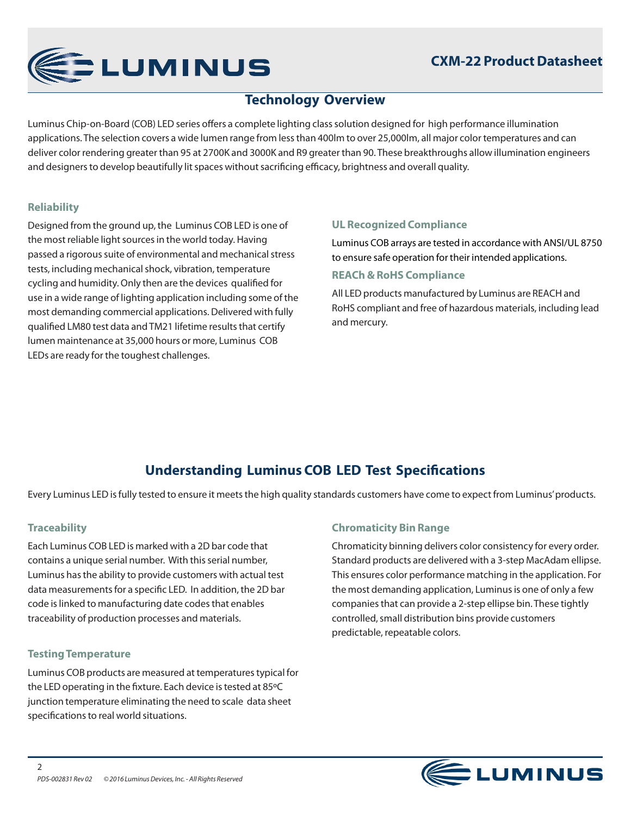

# **Technology Overview**

Luminus Chip-on-Board (COB) LED series offers a complete lighting class solution designed for high performance illumination applications. The selection covers a wide lumen range from less than 400lm to over 25,000lm, all major color temperatures and can deliver color rendering greater than 95 at 2700K and 3000K and R9 greater than 90. These breakthroughs allow illumination engineers and designers to develop beautifully lit spaces without sacrificing efficacy, brightness and overall quality.

# **Reliability**

Designed from the ground up, the Luminus COB LED is one of the most reliable light sources in the world today. Having passed a rigorous suite of environmental and mechanical stress tests, including mechanical shock, vibration, temperature cycling and humidity. Only then are the devices qualified for use in a wide range of lighting application including some of the most demanding commercial applications. Delivered with fully qualified LM80 test data and TM21 lifetime results that certify lumen maintenance at 35,000 hours or more, Luminus COB LEDs are ready for the toughest challenges.

# **UL Recognized Compliance**

Luminus COB arrays are tested in accordance with ANSI/UL 8750 to ensure safe operation for their intended applications. **REACh & RoHS Compliance**

All LED products manufactured by Luminus are REACH and RoHS compliant and free of hazardous materials, including lead and mercury.

# **Understanding Luminus COB LED Test Specifications**

Every Luminus LED is fully tested to ensure it meets the high quality standards customers have come to expect from Luminus' products.

# **Traceability**

Each Luminus COB LED is marked with a 2D bar code that contains a unique serial number. With this serial number, Luminus has the ability to provide customers with actual test data measurements for a specific LED. In addition, the 2D bar code is linked to manufacturing date codes that enables traceability of production processes and materials.

### **Testing Temperature**

 $\mathfrak{D}$ 

Luminus COB products are measured at temperatures typical for the LED operating in the fixture. Each device is tested at 85ºC junction temperature eliminating the need to scale data sheet specifications to real world situations.

# **Chromaticity Bin Range**

Chromaticity binning delivers color consistency for every order. Standard products are delivered with a 3-step MacAdam ellipse. This ensures color performance matching in the application. For the most demanding application, Luminus is one of only a few companies that can provide a 2-step ellipse bin. These tightly controlled, small distribution bins provide customers predictable, repeatable colors.

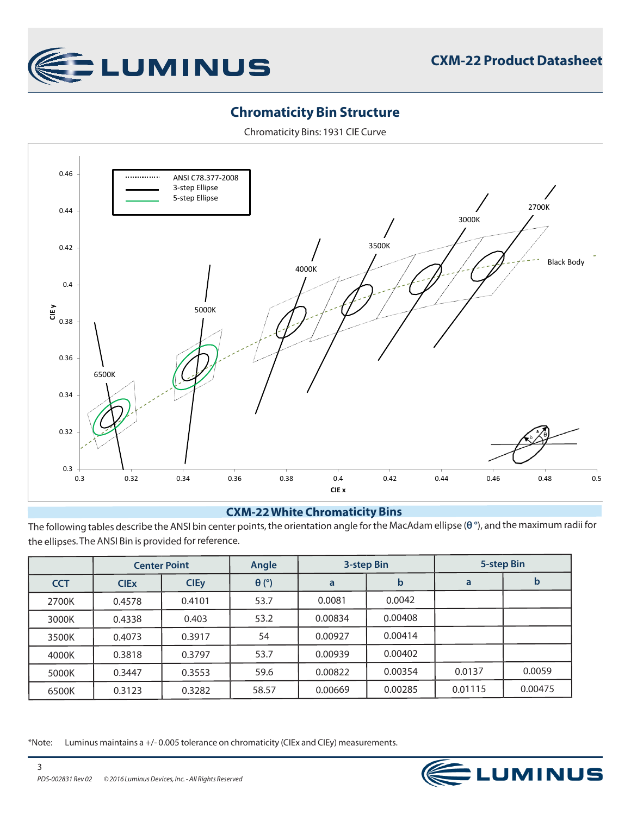

# **Chromaticity Bin Structure**

Chromaticity Bins: 1931 CIE Curve



### **CXM-22 White Chromaticity Bins**

The following tables describe the ANSI bin center points, the orientation angle for the MacAdam ellipse (**θ °**), and the maximum radii for the ellipses. The ANSI Bin is provided for reference.

|            | <b>Center Point</b> |             | Angle        | 3-step Bin |         | 5-step Bin |         |
|------------|---------------------|-------------|--------------|------------|---------|------------|---------|
| <b>CCT</b> | <b>CIEX</b>         | <b>CIEy</b> | $\theta$ (°) | a          | b       | a          | b       |
| 2700K      | 0.4578              | 0.4101      | 53.7         | 0.0081     | 0.0042  |            |         |
| 3000K      | 0.4338              | 0.403       | 53.2         | 0.00834    | 0.00408 |            |         |
| 3500K      | 0.4073              | 0.3917      | 54           | 0.00927    | 0.00414 |            |         |
| 4000K      | 0.3818              | 0.3797      | 53.7         | 0.00939    | 0.00402 |            |         |
| 5000K      | 0.3447              | 0.3553      | 59.6         | 0.00822    | 0.00354 | 0.0137     | 0.0059  |
| 6500K      | 0.3123              | 0.3282      | 58.57        | 0.00669    | 0.00285 | 0.01115    | 0.00475 |

\*Note: Luminus maintains a +/- 0.005 tolerance on chromaticity (CIEx and CIEy) measurements.

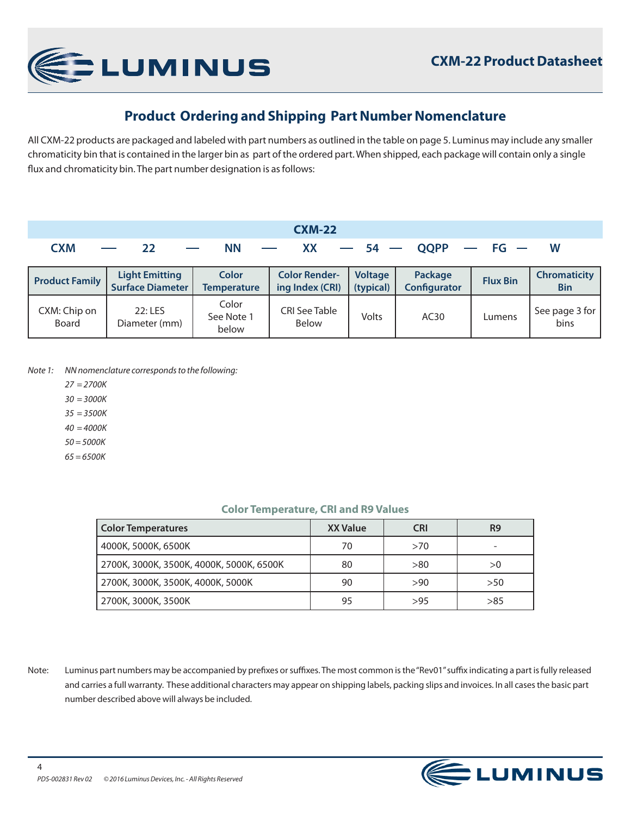

# **Product Ordering and Shipping Part Number Nomenclature**

All CXM-22 products are packaged and labeled with part numbers as outlined in the table on page 5. Luminus may include any smaller chromaticity bin that is contained in the larger bin as part of the ordered part. When shipped, each package will contain only a single flux and chromaticity bin. The part number designation is as follows:

| <b>CXM-22</b>         |                                                  |                                    |                                         |                             |                                |                 |                                   |  |  |  |
|-----------------------|--------------------------------------------------|------------------------------------|-----------------------------------------|-----------------------------|--------------------------------|-----------------|-----------------------------------|--|--|--|
| <b>CXM</b>            | 22                                               | <b>NN</b>                          | XX                                      | $-54-$                      | <b>OOPP</b>                    | $-$ FG $-$      | W                                 |  |  |  |
| <b>Product Family</b> | <b>Light Emitting</b><br><b>Surface Diameter</b> | <b>Color</b><br><b>Temperature</b> | <b>Color Render-</b><br>ing Index (CRI) | <b>Voltage</b><br>(typical) | Package<br><b>Configurator</b> | <b>Flux Bin</b> | <b>Chromaticity</b><br><b>Bin</b> |  |  |  |
| CXM: Chip on<br>Board | $22:$ LES<br>Diameter (mm)                       | Color<br>See Note 1<br>below       | <b>CRI See Table</b><br><b>Below</b>    | Volts                       | AC30                           | Lumens          | See page 3 for<br>bins            |  |  |  |

*Note 1: NN nomenclature corresponds to the following:*

- *27 = 2700K*
- *30 = 3000K*
- *35 = 3500K*
- *40 = 4000K*
- *50 = 5000K*
- *65 = 6500K*

#### **Color Temperature, CRI and R9 Values**

| <b>Color Temperatures</b>                | <b>XX Value</b> | CRI  | R9  |
|------------------------------------------|-----------------|------|-----|
| 4000K, 5000K, 6500K                      | 70              | >70  |     |
| 2700K, 3000K, 3500K, 4000K, 5000K, 6500K | 80              | > 80 | >0  |
| 2700K, 3000K, 3500K, 4000K, 5000K        | 90              | >90  | >50 |
| 2700K, 3000K, 3500K                      | 95              | >95  | >85 |

Note: Luminus part numbers may be accompanied by prefixes or suffixes. The most common is the "Rev01" suffix indicating a part is fully released and carries a full warranty. These additional characters may appear on shipping labels, packing slips and invoices. In all cases the basic part number described above will always be included.

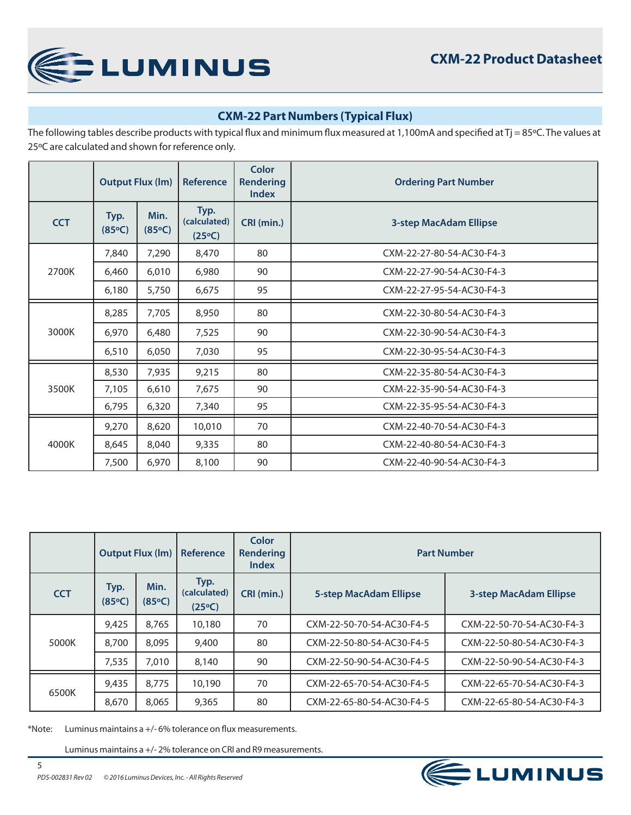

# **CXM-22 Part Numbers (Typical Flux)**

The following tables describe products with typical flux and minimum flux measured at 1,100mA and specified at Tj = 85°C. The values at 25ºC are calculated and shown for reference only.

|            | <b>Output Flux (Im)</b> |                | Reference                      | Color<br><b>Rendering</b><br><b>Index</b> | <b>Ordering Part Number</b>   |  |  |  |
|------------|-------------------------|----------------|--------------------------------|-------------------------------------------|-------------------------------|--|--|--|
| <b>CCT</b> | Typ.<br>(85°C)          | Min.<br>(85°C) | Typ.<br>(calculated)<br>(25°C) | CRI (min.)                                | <b>3-step MacAdam Ellipse</b> |  |  |  |
|            | 7,840                   | 7,290          | 8,470                          | 80                                        | CXM-22-27-80-54-AC30-F4-3     |  |  |  |
| 2700K      | 6,460                   | 6,010          | 6,980                          | 90                                        | CXM-22-27-90-54-AC30-F4-3     |  |  |  |
|            | 6,180                   | 5,750          | 6,675                          | 95                                        | CXM-22-27-95-54-AC30-F4-3     |  |  |  |
| 3000K      | 8,285                   | 7,705          | 8,950                          | 80                                        | CXM-22-30-80-54-AC30-F4-3     |  |  |  |
|            | 6,970                   | 6,480          | 7,525                          | 90                                        | CXM-22-30-90-54-AC30-F4-3     |  |  |  |
|            | 6,510                   | 6,050          | 7,030                          | 95                                        | CXM-22-30-95-54-AC30-F4-3     |  |  |  |
|            | 8,530                   | 7,935          | 9,215                          | 80                                        | CXM-22-35-80-54-AC30-F4-3     |  |  |  |
| 3500K      | 7,105                   | 6,610          | 7,675                          | 90                                        | CXM-22-35-90-54-AC30-F4-3     |  |  |  |
|            | 6,795                   | 6,320          | 7,340                          | 95                                        | CXM-22-35-95-54-AC30-F4-3     |  |  |  |
|            | 9,270                   | 8,620          | 10,010                         | 70                                        | CXM-22-40-70-54-AC30-F4-3     |  |  |  |
| 4000K      | 8,645                   | 8,040          | 9,335                          | 80                                        | CXM-22-40-80-54-AC30-F4-3     |  |  |  |
|            | 7,500                   | 6,970          | 8,100                          | 90                                        | CXM-22-40-90-54-AC30-F4-3     |  |  |  |

|            | <b>Output Flux (Im)</b> |                | Reference                               | Color<br><b>Rendering</b><br>Index | <b>Part Number</b>            |                               |  |
|------------|-------------------------|----------------|-----------------------------------------|------------------------------------|-------------------------------|-------------------------------|--|
| <b>CCT</b> | Typ.<br>(85°C)          | Min.<br>(85°C) | Typ.<br>(calculated)<br>$(25^{\circ}C)$ | CRI (min.)                         | <b>5-step MacAdam Ellipse</b> | <b>3-step MacAdam Ellipse</b> |  |
| 5000K      | 9,425                   | 8.765          | 10,180                                  | 70                                 | CXM-22-50-70-54-AC30-F4-5     | CXM-22-50-70-54-AC30-F4-3     |  |
|            | 8,700                   | 8.095          | 9,400                                   | 80                                 | CXM-22-50-80-54-AC30-F4-5     | CXM-22-50-80-54-AC30-F4-3     |  |
|            | 7,535                   | 7,010          | 8,140                                   | 90                                 | CXM-22-50-90-54-AC30-F4-5     | CXM-22-50-90-54-AC30-F4-3     |  |
| 6500K      | 9,435                   | 8.775          | 10,190                                  | 70                                 | CXM-22-65-70-54-AC30-F4-5     | CXM-22-65-70-54-AC30-F4-3     |  |
|            | 8,670                   | 8.065          | 9,365                                   | 80                                 | CXM-22-65-80-54-AC30-F4-5     | CXM-22-65-80-54-AC30-F4-3     |  |

\*Note: Luminus maintains a +/- 6% tolerance on flux measurements.

Luminus maintains a +/- 2% tolerance on CRI and R9 measurements.

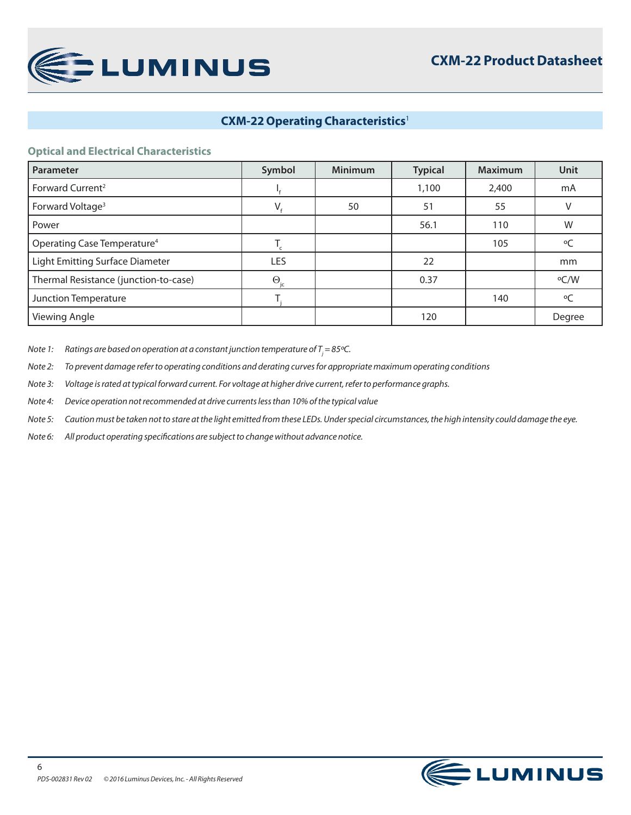

# **CXM-22 Operating Characteristics**<sup>1</sup>

#### **Optical and Electrical Characteristics**

| Parameter                               | Symbol            | <b>Minimum</b> | <b>Typical</b> | <b>Maximum</b> | <b>Unit</b> |
|-----------------------------------------|-------------------|----------------|----------------|----------------|-------------|
| Forward Current <sup>2</sup>            |                   |                | 1,100          | 2,400          | mA          |
| Forward Voltage <sup>3</sup>            | V.                | 50             | 51             | 55             | V           |
| Power                                   |                   |                | 56.1           | 110            | W           |
| Operating Case Temperature <sup>4</sup> |                   |                |                | 105            | $\circ$ C   |
| <b>Light Emitting Surface Diameter</b>  | LES               |                | 22             |                | mm          |
| Thermal Resistance (junction-to-case)   | $\Theta_{\rm ic}$ |                | 0.37           |                | $\rm ^oC/W$ |
| Junction Temperature                    |                   |                |                | 140            | $\circ$ C   |
| <b>Viewing Angle</b>                    |                   |                | 120            |                | Degree      |

Note 1:  $\;\;$  Ratings are based on operation at a constant junction temperature of T<sub>j</sub> = 85°C.

*Note 2: To prevent damage refer to operating conditions and derating curves for appropriate maximum operating conditions*

*Note 3: Voltage is rated at typical forward current. For voltage at higher drive current, refer to performance graphs.*

*Note 4: Device operation not recommended at drive currents less than 10% of the typical value*

*Note 5: Caution must be taken not to stare at the light emitted from these LEDs. Under special circumstances, the high intensity could damage the eye.*

*Note 6: All product operating specifications are subject to change without advance notice.*

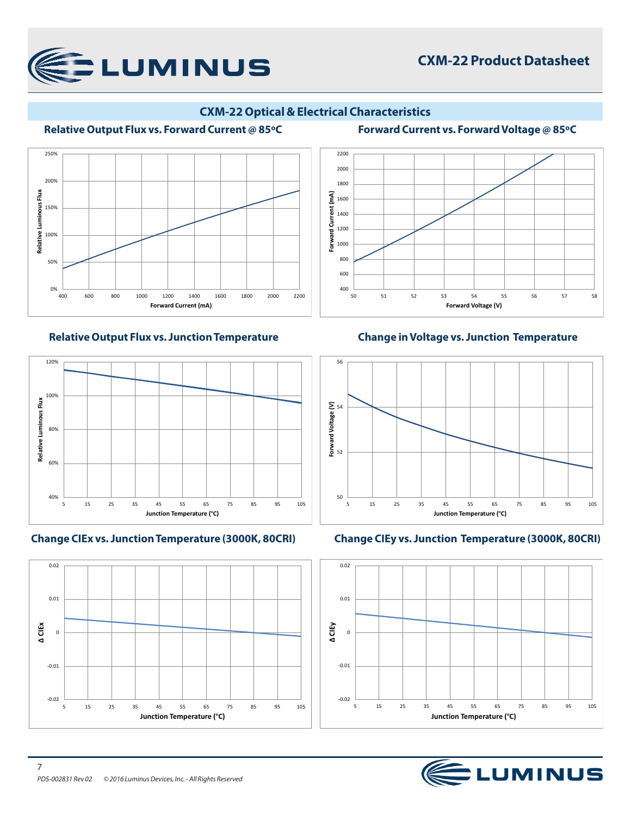

# **CXM-22 Product Datasheet**

### **CXM-22 Optical & Electrical Characteristics**

**Forward Current (mA)**

Forward Current

 $\tilde{f}$ 

#### **Relative Output Flux vs. Forward Current @ 85ºC Forward Current vs. Forward Voltage @ 85ºC**





**Change CIEx vs. Junction Temperature (3000K, 80CRI) Change CIEy vs. Junction Temperature (3000K, 80CRI)**



**Relative Output Flux vs. Junction Temperature Change in Voltage vs. Junction Temperature** 

50 51 52 53 54 55 56 57 58

**Forward Voltage (V)**





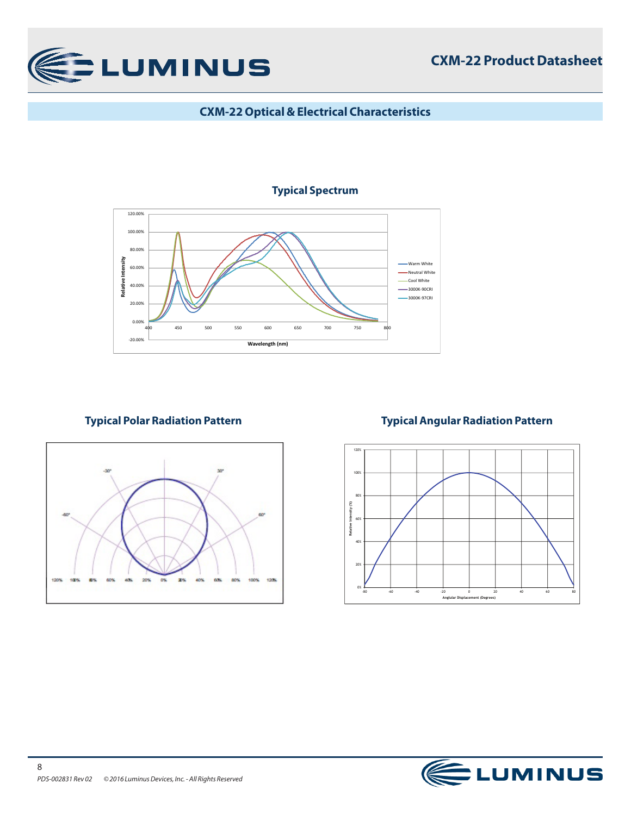

# **CXM-22 Optical & Electrical Characteristics**

### **Typical Spectrum**





# **Typical Polar Radiation Pattern Typical Angular Radiation Pattern**



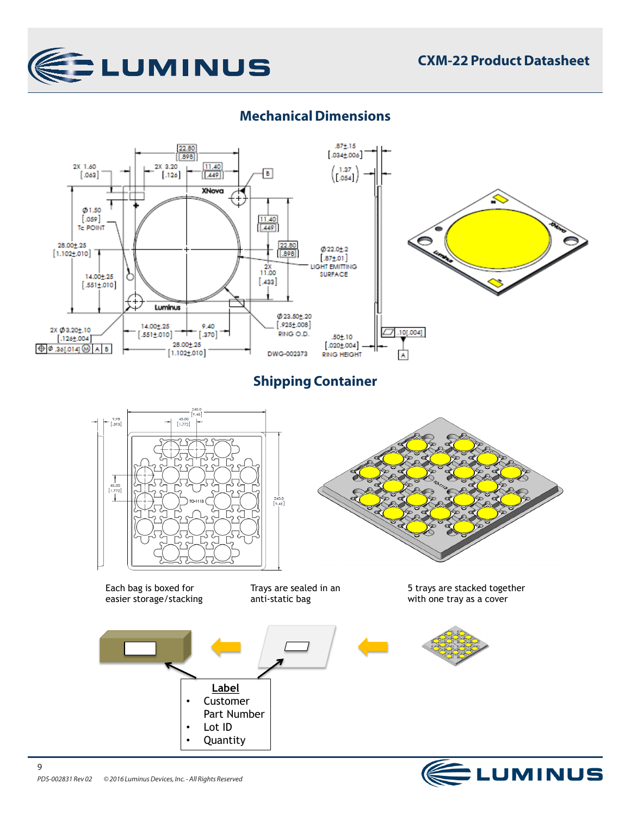